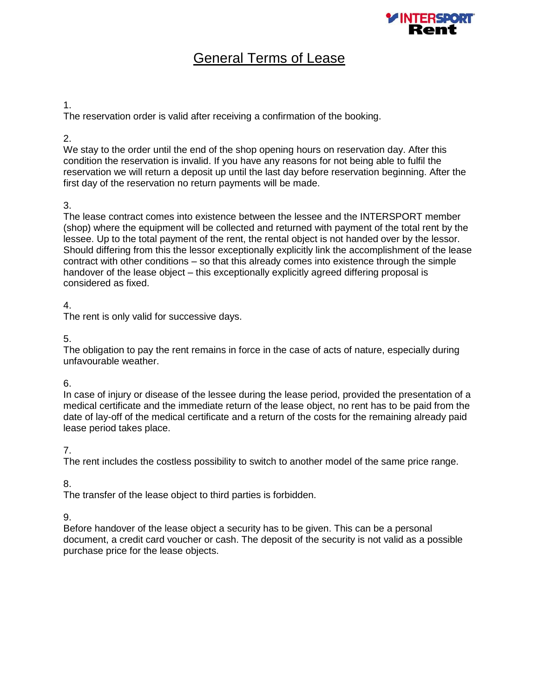

# General Terms of Lease

### 1.

The reservation order is valid after receiving a confirmation of the booking.

### 2.

We stay to the order until the end of the shop opening hours on reservation day. After this condition the reservation is invalid. If you have any reasons for not being able to fulfil the reservation we will return a deposit up until the last day before reservation beginning. After the first day of the reservation no return payments will be made.

# 3.

The lease contract comes into existence between the lessee and the INTERSPORT member (shop) where the equipment will be collected and returned with payment of the total rent by the lessee. Up to the total payment of the rent, the rental object is not handed over by the lessor. Should differing from this the lessor exceptionally explicitly link the accomplishment of the lease contract with other conditions – so that this already comes into existence through the simple handover of the lease object – this exceptionally explicitly agreed differing proposal is considered as fixed.

# 4.

The rent is only valid for successive days.

# 5.

The obligation to pay the rent remains in force in the case of acts of nature, especially during unfavourable weather.

## 6.

In case of injury or disease of the lessee during the lease period, provided the presentation of a medical certificate and the immediate return of the lease object, no rent has to be paid from the date of lay-off of the medical certificate and a return of the costs for the remaining already paid lease period takes place.

## 7.

The rent includes the costless possibility to switch to another model of the same price range.

# 8.

The transfer of the lease object to third parties is forbidden.

## 9.

Before handover of the lease object a security has to be given. This can be a personal document, a credit card voucher or cash. The deposit of the security is not valid as a possible purchase price for the lease objects.